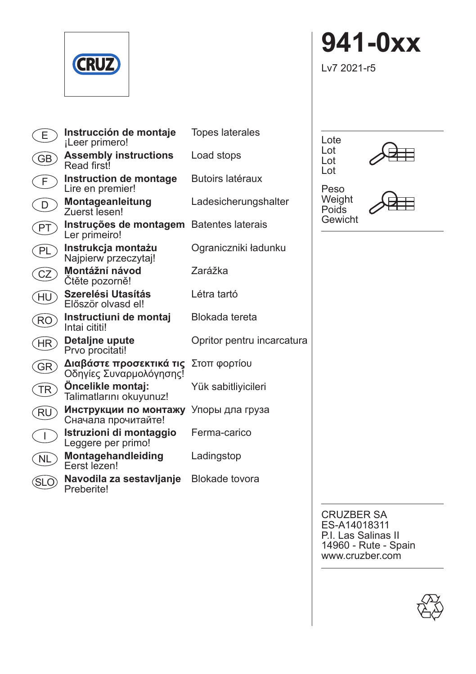

| E.        | Instrucción de montaje<br>iLeer primero!                | <b>Topes laterales</b>     |
|-----------|---------------------------------------------------------|----------------------------|
| GB        | <b>Assembly instructions</b><br>Read first <sup>1</sup> | Load stops                 |
| F         | Instruction de montage<br>Lire en premier!              | Butoirs latéraux           |
| D         | Montageanleitung<br>Zuerst lesen!                       | Ladesicherungshalter       |
| PT        | Instruções de montagem<br>Ler primeiro!                 | <b>Batentes laterais</b>   |
| PL        | Instrukcja montażu<br>Najpierw przeczytaj!              | Ograniczniki ładunku       |
| CZ        | Montážní návod<br>Ctěte pozorně!                        | Zarážka                    |
| HU        | Szerelési Utasítás<br>Flőször olvasd ell                | I étra tartó               |
| <b>RO</b> | Instructiuni de montaj<br>Intai cititi!                 | Blokada tereta             |
| HR        | Detaljne upute<br>Prvo procitati!                       | Opritor pentru incarcatura |
| GR        | Διαβάστε προσεκτικά τις<br>Οδηγίες Συναρμολόγησης!      | Στοπ φορτίου               |
| TR        | <b>Oncelikle montaj:</b><br>Talimatlarını okuyunuz!     | Yük sabitliyicileri        |
| RU        | Инструкции по монтажу<br>Сначала прочитайте!            | Упоры дла груза            |
| I         | Istruzioni di montaggio<br>Leggere per primo!           | Ferma-carico               |
| <b>NL</b> | Montagehandleiding<br>Ferst lezen!                      | Ladingstop                 |
| .<br>SL ( | Navodila za sestavljanje<br><b>Preberite!</b>           | Blokade tovora             |

**941-0xx**

Lv7 2021-r5



Peso Weight Poids Gewicht

Lot Lot Lot



CRUZBER SA ES-A14018311 P.I. Las Salinas II 14960 - Rute - Spain www.cruzber.com

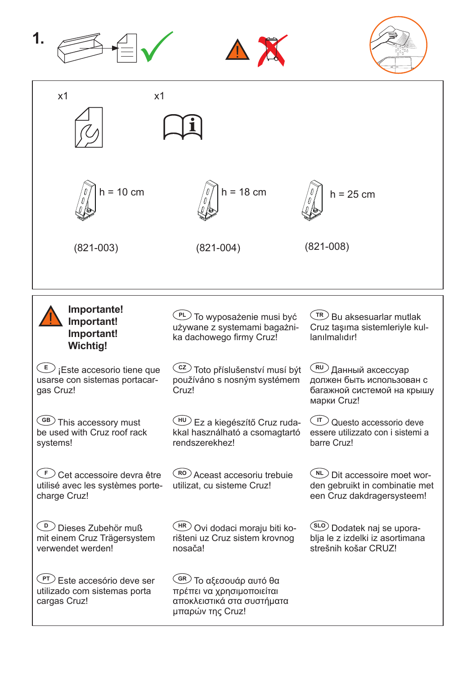